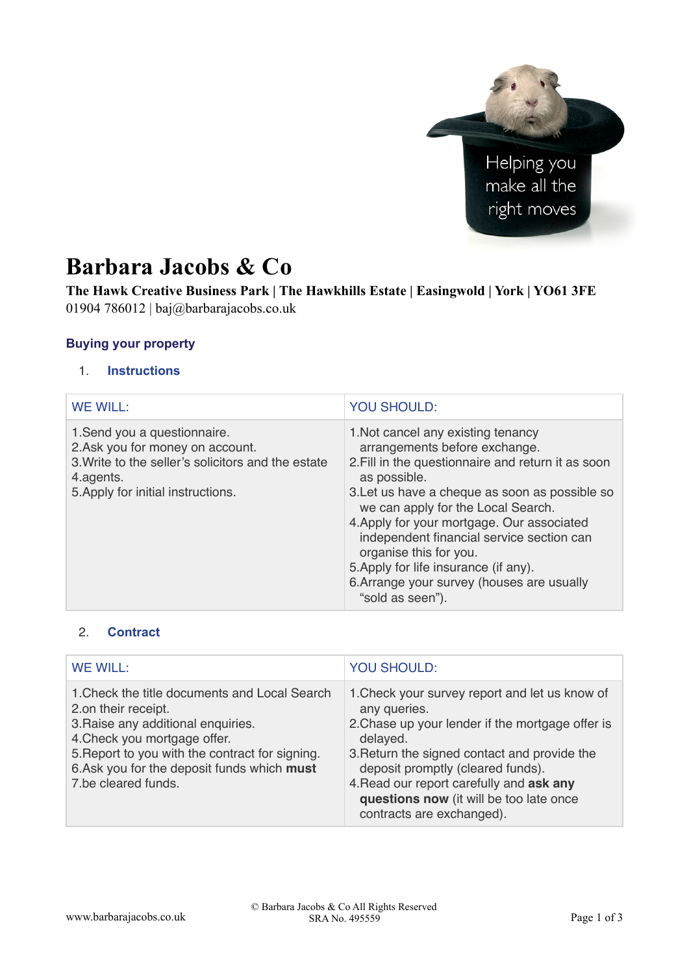

# **Barbara Jacobs & Co**

**The Hawk Creative Business Park | The Hawkhills Estate | Easingwold | York | YO61 3FE**  01904 786012 | baj@barbarajacobs.co.uk

#### **Buying your property**

#### 1. **Instructions**

| <b>WE WILL:</b>                                                                                                                                                          | <b>YOU SHOULD:</b>                                                                                                                                                                                                                                                                                                                                                                                                                                                |
|--------------------------------------------------------------------------------------------------------------------------------------------------------------------------|-------------------------------------------------------------------------------------------------------------------------------------------------------------------------------------------------------------------------------------------------------------------------------------------------------------------------------------------------------------------------------------------------------------------------------------------------------------------|
| 1. Send you a questionnaire.<br>2.Ask you for money on account.<br>3. Write to the seller's solicitors and the estate<br>4.agents.<br>5. Apply for initial instructions. | 1. Not cancel any existing tenancy<br>arrangements before exchange.<br>2. Fill in the questionnaire and return it as soon<br>as possible.<br>3. Let us have a cheque as soon as possible so<br>we can apply for the Local Search.<br>4. Apply for your mortgage. Our associated<br>independent financial service section can<br>organise this for you.<br>5. Apply for life insurance (if any).<br>6. Arrange your survey (houses are usually<br>"sold as seen"). |

## 2. **Contract**

| <b>WE WILL:</b>                                                                                                                                                                                                                                                     | <b>YOU SHOULD:</b>                                                                                                                                                                                                                                                                                                                      |
|---------------------------------------------------------------------------------------------------------------------------------------------------------------------------------------------------------------------------------------------------------------------|-----------------------------------------------------------------------------------------------------------------------------------------------------------------------------------------------------------------------------------------------------------------------------------------------------------------------------------------|
| 1. Check the title documents and Local Search<br>2.on their receipt.<br>3. Raise any additional enquiries.<br>4. Check you mortgage offer.<br>5. Report to you with the contract for signing.<br>6. Ask you for the deposit funds which must<br>7.be cleared funds. | 1. Check your survey report and let us know of<br>any queries.<br>2. Chase up your lender if the mortgage offer is<br>delayed.<br>3. Return the signed contact and provide the<br>deposit promptly (cleared funds).<br>4. Read our report carefully and ask any<br>questions now (it will be too late once<br>contracts are exchanged). |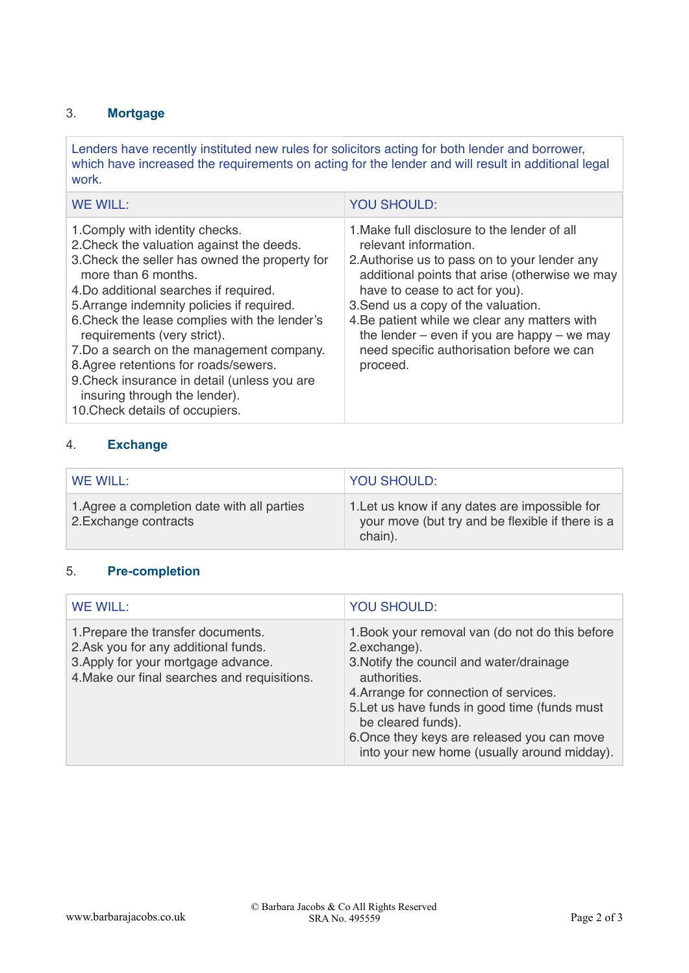# 3. **Mortgage**

Lenders have recently instituted new rules for solicitors acting for both lender and borrower, which have increased the requirements on acting for the lender and will result in additional legal work.

| WE WILL:                                                                                                                                                                                                                                                                                                                                                                                                                                                                                                                               | <b>YOU SHOULD:</b>                                                                                                                                                                                                                                                                                                                                                                                             |
|----------------------------------------------------------------------------------------------------------------------------------------------------------------------------------------------------------------------------------------------------------------------------------------------------------------------------------------------------------------------------------------------------------------------------------------------------------------------------------------------------------------------------------------|----------------------------------------------------------------------------------------------------------------------------------------------------------------------------------------------------------------------------------------------------------------------------------------------------------------------------------------------------------------------------------------------------------------|
| 1. Comply with identity checks.<br>2. Check the valuation against the deeds.<br>3. Check the seller has owned the property for<br>more than 6 months.<br>4. Do additional searches if required.<br>5. Arrange indemnity policies if required.<br>6. Check the lease complies with the lender's<br>requirements (very strict).<br>7. Do a search on the management company.<br>8.Agree retentions for roads/sewers.<br>9. Check insurance in detail (unless you are<br>insuring through the lender).<br>10. Check details of occupiers. | 1. Make full disclosure to the lender of all<br>relevant information.<br>2. Authorise us to pass on to your lender any<br>additional points that arise (otherwise we may<br>have to cease to act for you).<br>3. Send us a copy of the valuation.<br>4. Be patient while we clear any matters with<br>the lender $-$ even if you are happy $-$ we may<br>need specific authorisation before we can<br>proceed. |

# 4. **Exchange**

| WE WILL:                                                             | <b>YOU SHOULD:</b>                                                                                            |
|----------------------------------------------------------------------|---------------------------------------------------------------------------------------------------------------|
| 1. Agree a completion date with all parties<br>2. Exchange contracts | 1. Let us know if any dates are impossible for<br>your move (but try and be flexible if there is a<br>chain). |

### 5. **Pre-completion**

| <b>WE WILL:</b>                                                                                                                                                   | <b>YOU SHOULD:</b>                                                                                                                                                                                                                                                                                                                         |
|-------------------------------------------------------------------------------------------------------------------------------------------------------------------|--------------------------------------------------------------------------------------------------------------------------------------------------------------------------------------------------------------------------------------------------------------------------------------------------------------------------------------------|
| 1. Prepare the transfer documents.<br>2. Ask you for any additional funds.<br>3. Apply for your mortgage advance.<br>4. Make our final searches and requisitions. | 1. Book your removal van (do not do this before<br>2.exchange).<br>3. Notify the council and water/drainage<br>authorities.<br>4. Arrange for connection of services.<br>5. Let us have funds in good time (funds must<br>be cleared funds).<br>6. Once they keys are released you can move<br>into your new home (usually around midday). |